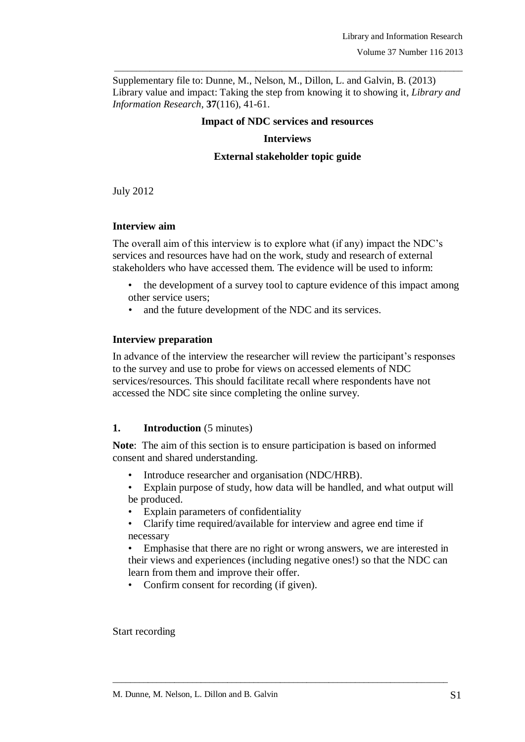Supplementary file to: Dunne, M., Nelson, M., Dillon, L. and Galvin, B. (2013) Library value and impact: Taking the step from knowing it to showing it, *Library and Information Research*, **37**(116), 41-61.

\_\_\_\_\_\_\_\_\_\_\_\_\_\_\_\_\_\_\_\_\_\_\_\_\_\_\_\_\_\_\_\_\_\_\_\_\_\_\_\_\_\_\_\_\_\_\_\_\_\_\_\_\_\_\_\_\_\_\_\_\_\_\_\_\_\_\_\_\_\_\_\_\_\_\_\_\_\_\_

## **Impact of NDC services and resources**

## **Interviews**

## **External stakeholder topic guide**

July 2012

# **Interview aim**

The overall aim of this interview is to explore what (if any) impact the NDC's services and resources have had on the work, study and research of external stakeholders who have accessed them. The evidence will be used to inform:

- the development of a survey tool to capture evidence of this impact among other service users;
- and the future development of the NDC and its services.

## **Interview preparation**

In advance of the interview the researcher will review the participant's responses to the survey and use to probe for views on accessed elements of NDC services/resources. This should facilitate recall where respondents have not accessed the NDC site since completing the online survey.

# 1. **Introduction** (5 minutes)

**Note**: The aim of this section is to ensure participation is based on informed consent and shared understanding.

- Introduce researcher and organisation (NDC/HRB).
- Explain purpose of study, how data will be handled, and what output will be produced.
- Explain parameters of confidentiality
- Clarify time required/available for interview and agree end time if necessary

• Emphasise that there are no right or wrong answers, we are interested in their views and experiences (including negative ones!) so that the NDC can learn from them and improve their offer.

\_\_\_\_\_\_\_\_\_\_\_\_\_\_\_\_\_\_\_\_\_\_\_\_\_\_\_\_\_\_\_\_\_\_\_\_\_\_\_\_\_\_\_\_\_\_\_\_\_\_\_\_\_\_\_\_\_\_\_\_\_\_\_\_\_\_\_\_\_\_\_\_\_\_\_\_

• Confirm consent for recording (if given).

Start recording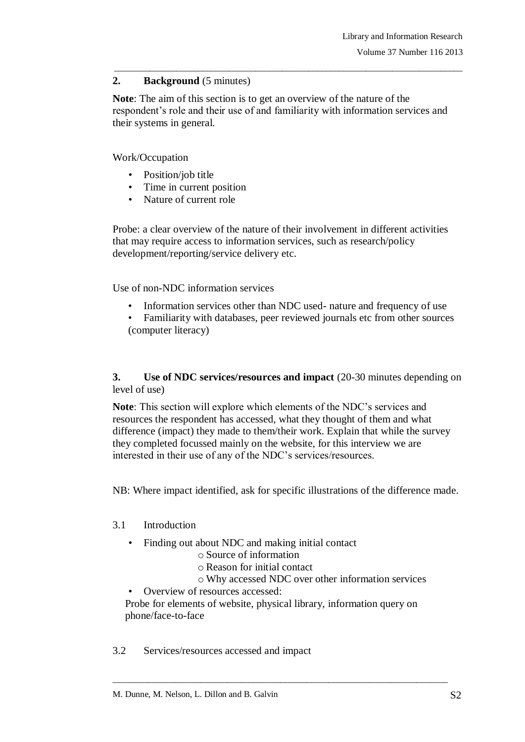# **2. Background** (5 minutes)

**Note**: The aim of this section is to get an overview of the nature of the respondent's role and their use of and familiarity with information services and their systems in general.

\_\_\_\_\_\_\_\_\_\_\_\_\_\_\_\_\_\_\_\_\_\_\_\_\_\_\_\_\_\_\_\_\_\_\_\_\_\_\_\_\_\_\_\_\_\_\_\_\_\_\_\_\_\_\_\_\_\_\_\_\_\_\_\_\_\_\_\_\_\_\_\_\_\_\_\_\_\_\_

## Work/Occupation

- Position/job title
- Time in current position
- Nature of current role

Probe: a clear overview of the nature of their involvement in different activities that may require access to information services, such as research/policy development/reporting/service delivery etc.

Use of non-NDC information services

- Information services other than NDC used- nature and frequency of use
- Familiarity with databases, peer reviewed journals etc from other sources (computer literacy)

**3. Use of NDC services/resources and impact** (20-30 minutes depending on level of use)

**Note**: This section will explore which elements of the NDC's services and resources the respondent has accessed, what they thought of them and what difference (impact) they made to them/their work. Explain that while the survey they completed focussed mainly on the website, for this interview we are interested in their use of any of the NDC's services/resources.

NB: Where impact identified, ask for specific illustrations of the difference made.

## 3.1 Introduction

- Finding out about NDC and making initial contact
	- o Source of information
	- o Reason for initial contact
	- o Why accessed NDC over other information services
- Overview of resources accessed:

Probe for elements of website, physical library, information query on phone/face-to-face

\_\_\_\_\_\_\_\_\_\_\_\_\_\_\_\_\_\_\_\_\_\_\_\_\_\_\_\_\_\_\_\_\_\_\_\_\_\_\_\_\_\_\_\_\_\_\_\_\_\_\_\_\_\_\_\_\_\_\_\_\_\_\_\_\_\_\_\_\_\_\_\_\_\_\_\_

3.2 Services/resources accessed and impact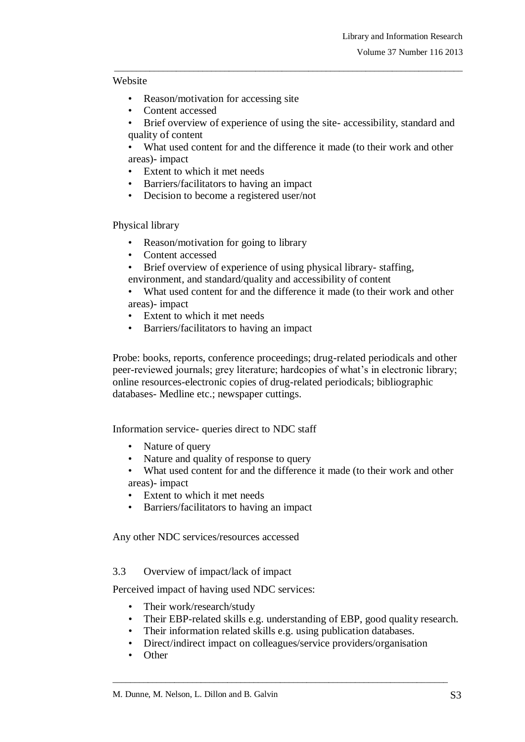### Website

- Reason/motivation for accessing site
- Content accessed
- Brief overview of experience of using the site- accessibility, standard and quality of content

\_\_\_\_\_\_\_\_\_\_\_\_\_\_\_\_\_\_\_\_\_\_\_\_\_\_\_\_\_\_\_\_\_\_\_\_\_\_\_\_\_\_\_\_\_\_\_\_\_\_\_\_\_\_\_\_\_\_\_\_\_\_\_\_\_\_\_\_\_\_\_\_\_\_\_\_\_\_\_

What used content for and the difference it made (to their work and other areas)- impact

- Extent to which it met needs
- Barriers/facilitators to having an impact
- Decision to become a registered user/not

Physical library

- Reason/motivation for going to library
- Content accessed
- Brief overview of experience of using physical library-staffing,
- environment, and standard/quality and accessibility of content
- What used content for and the difference it made (to their work and other areas)- impact
- Extent to which it met needs
- Barriers/facilitators to having an impact

Probe: books, reports, conference proceedings; drug-related periodicals and other peer-reviewed journals; grey literature; hardcopies of what's in electronic library; online resources-electronic copies of drug-related periodicals; bibliographic databases- Medline etc.; newspaper cuttings.

Information service- queries direct to NDC staff

- Nature of query
- Nature and quality of response to query
- What used content for and the difference it made (to their work and other areas)- impact
- Extent to which it met needs
- Barriers/facilitators to having an impact

Any other NDC services/resources accessed

## 3.3 Overview of impact/lack of impact

Perceived impact of having used NDC services:

- Their work/research/study
- Their EBP-related skills e.g. understanding of EBP, good quality research.
- Their information related skills e.g. using publication databases.
- Direct/indirect impact on colleagues/service providers/organisation

\_\_\_\_\_\_\_\_\_\_\_\_\_\_\_\_\_\_\_\_\_\_\_\_\_\_\_\_\_\_\_\_\_\_\_\_\_\_\_\_\_\_\_\_\_\_\_\_\_\_\_\_\_\_\_\_\_\_\_\_\_\_\_\_\_\_\_\_\_\_\_\_\_\_\_\_

**Other**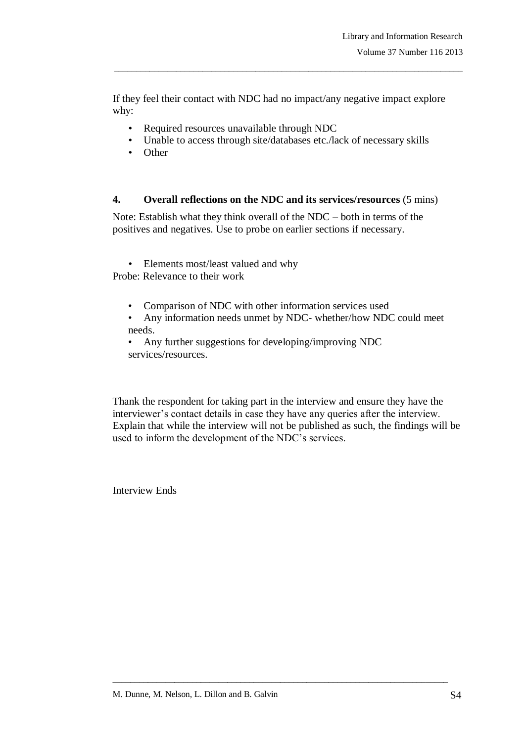If they feel their contact with NDC had no impact/any negative impact explore why:

\_\_\_\_\_\_\_\_\_\_\_\_\_\_\_\_\_\_\_\_\_\_\_\_\_\_\_\_\_\_\_\_\_\_\_\_\_\_\_\_\_\_\_\_\_\_\_\_\_\_\_\_\_\_\_\_\_\_\_\_\_\_\_\_\_\_\_\_\_\_\_\_\_\_\_\_\_\_\_

- Required resources unavailable through NDC
- Unable to access through site/databases etc./lack of necessary skills
- Other

## **4. Overall reflections on the NDC and its services/resources** (5 mins)

Note: Establish what they think overall of the NDC – both in terms of the positives and negatives. Use to probe on earlier sections if necessary.

• Elements most/least valued and why Probe: Relevance to their work

- Comparison of NDC with other information services used
- Any information needs unmet by NDC- whether/how NDC could meet needs.

• Any further suggestions for developing/improving NDC services/resources.

Thank the respondent for taking part in the interview and ensure they have the interviewer's contact details in case they have any queries after the interview. Explain that while the interview will not be published as such, the findings will be used to inform the development of the NDC's services.

\_\_\_\_\_\_\_\_\_\_\_\_\_\_\_\_\_\_\_\_\_\_\_\_\_\_\_\_\_\_\_\_\_\_\_\_\_\_\_\_\_\_\_\_\_\_\_\_\_\_\_\_\_\_\_\_\_\_\_\_\_\_\_\_\_\_\_\_\_\_\_\_\_\_\_\_

Interview Ends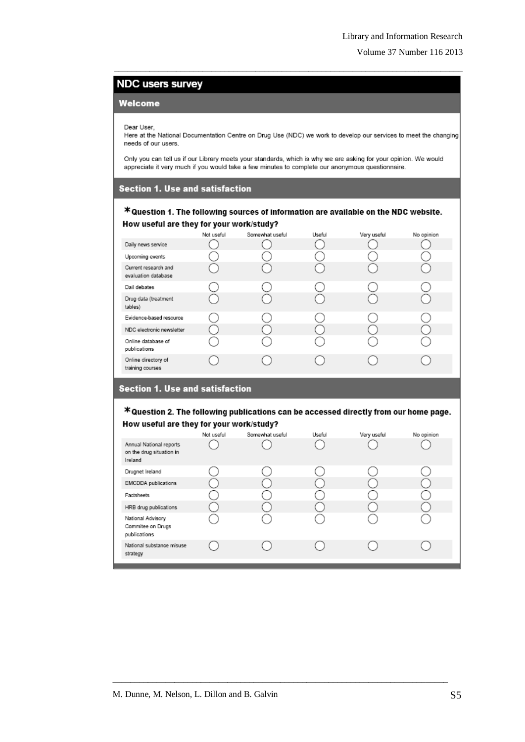# **NDC users survey**

#### Welcome

Dear User.

Here at the National Documentation Centre on Drug Use (NDC) we work to develop our services to meet the changing needs of our users.

\_\_\_\_\_\_\_\_\_\_\_\_\_\_\_\_\_\_\_\_\_\_\_\_\_\_\_\_\_\_\_\_\_\_\_\_\_\_\_\_\_\_\_\_\_\_\_\_\_\_\_\_\_\_\_\_\_\_\_\_\_\_\_\_\_\_\_\_\_\_\_\_\_\_\_\_\_\_\_

Only you can tell us if our Library meets your standards, which is why we are asking for your opinion. We would appreciate it very much if you would take a few minutes to complete our anonymous questionnaire.

#### **Section 1. Use and satisfaction**

### \*Question 1. The following sources of information are available on the NDC website. How useful are they for your work/study?

| Not useful | Somewhat useful | Useful | Very useful | No opinion |
|------------|-----------------|--------|-------------|------------|
|            |                 |        |             |            |
|            |                 |        |             |            |
|            |                 |        |             |            |
|            |                 |        |             |            |
|            |                 |        |             |            |
|            |                 |        |             |            |
|            |                 |        |             |            |
|            |                 |        |             |            |
|            |                 |        |             |            |
|            |                 |        |             |            |

#### **Section 1. Use and satisfaction**

\*Question 2. The following publications can be accessed directly from our home page. How useful are they for your work/study?

|                                                                | Not useful | Somewhat useful | Useful | Very useful | No opinion |
|----------------------------------------------------------------|------------|-----------------|--------|-------------|------------|
| Annual National reports<br>on the drug situation in<br>Ireland |            |                 |        |             |            |
| Drugnet Ireland                                                |            |                 |        |             |            |
| <b>EMCDDA</b> publications                                     |            |                 |        |             |            |
| Factsheets                                                     |            |                 |        |             |            |
| HRB drug publications                                          |            |                 |        |             |            |
| National Advisory<br>Commitee on Drugs<br>publications         |            |                 |        |             |            |
| National substance misuse<br>strategy                          |            |                 |        |             |            |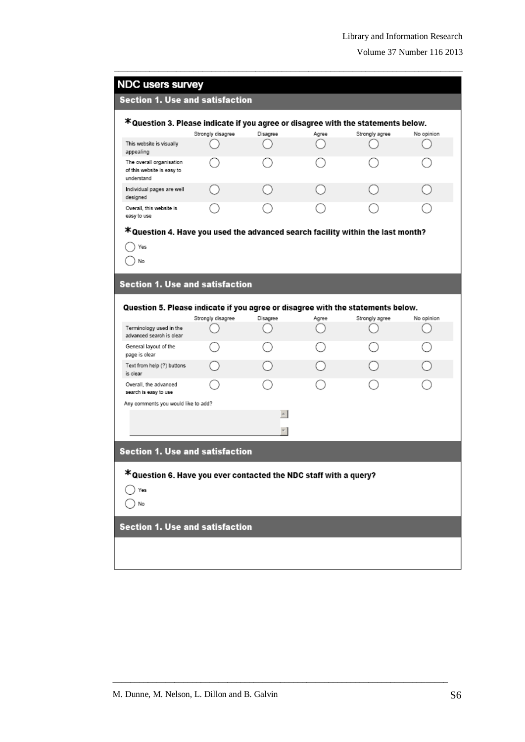| <b>NDC users survey</b>                                                          |                   |                |       |                |            |
|----------------------------------------------------------------------------------|-------------------|----------------|-------|----------------|------------|
| <b>Section 1. Use and satisfaction</b>                                           |                   |                |       |                |            |
| *Question 3. Please indicate if you agree or disagree with the statements below. |                   |                |       |                |            |
|                                                                                  | Strongly disagree | Disagree       | Agree | Strongly agree | No opinion |
| This website is visually<br>appealing                                            |                   |                |       |                |            |
| The overall organisation<br>of this website is easy to<br>understand             |                   |                |       |                |            |
| Individual pages are well<br>designed                                            |                   |                |       |                |            |
| Overall, this website is<br>easy to use                                          |                   |                |       |                |            |
| *Question 4. Have you used the advanced search facility within the last month?   |                   |                |       |                |            |
| Yes                                                                              |                   |                |       |                |            |
| No                                                                               |                   |                |       |                |            |
|                                                                                  |                   |                |       |                |            |
| <b>Section 1. Use and satisfaction</b>                                           |                   |                |       |                |            |
|                                                                                  |                   |                |       |                |            |
| Question 5. Please indicate if you agree or disagree with the statements below.  |                   |                |       |                |            |
|                                                                                  | Strongly disagree | Disagree       | Agree | Strongly agree | No opinion |
| Terminology used in the<br>advanced search is clear                              |                   |                |       |                |            |
|                                                                                  |                   |                |       |                |            |
| General layout of the<br>page is clear                                           |                   |                |       |                |            |
| Text from help (?) buttons<br>is clear                                           |                   |                |       |                |            |
| Overall, the advanced<br>search is easy to use                                   |                   |                |       |                |            |
| Any comments you would like to add?                                              |                   |                |       |                |            |
|                                                                                  |                   | $\sim$ $\vert$ |       |                |            |
|                                                                                  |                   | $\frac{1}{2}$  |       |                |            |
|                                                                                  |                   |                |       |                |            |
| <b>Section 1. Use and satisfaction</b>                                           |                   |                |       |                |            |
|                                                                                  |                   |                |       |                |            |
| *Question 6. Have you ever contacted the NDC staff with a query?                 |                   |                |       |                |            |
| Yes                                                                              |                   |                |       |                |            |
| No                                                                               |                   |                |       |                |            |
|                                                                                  |                   |                |       |                |            |
| <b>Section 1. Use and satisfaction</b>                                           |                   |                |       |                |            |
|                                                                                  |                   |                |       |                |            |

\_\_\_\_\_\_\_\_\_\_\_\_\_\_\_\_\_\_\_\_\_\_\_\_\_\_\_\_\_\_\_\_\_\_\_\_\_\_\_\_\_\_\_\_\_\_\_\_\_\_\_\_\_\_\_\_\_\_\_\_\_\_\_\_\_\_\_\_\_\_\_\_\_\_\_\_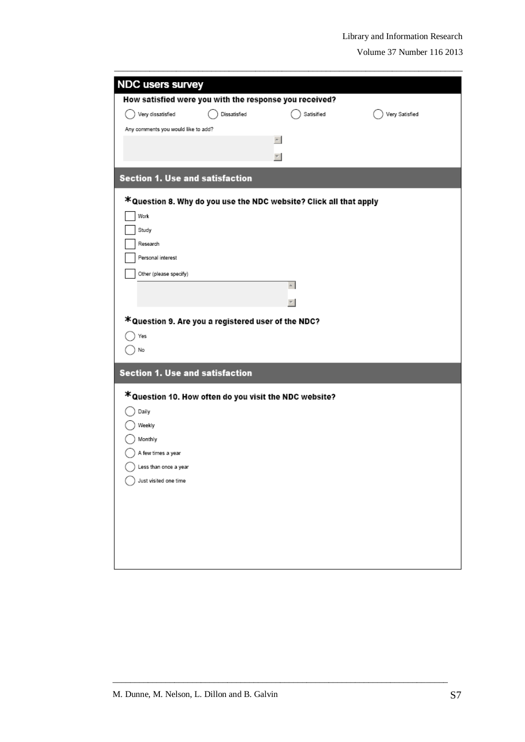| <b>NDC users survey</b>                                |              |                                                                   |                |
|--------------------------------------------------------|--------------|-------------------------------------------------------------------|----------------|
| How satisfied were you with the response you received? |              |                                                                   |                |
| Very dissatisfied                                      | Dissatisfied | Satisified                                                        | Very Satisfied |
| Any comments you would like to add?                    |              |                                                                   |                |
|                                                        |              | $\sim$                                                            |                |
|                                                        |              | $\tau$                                                            |                |
| <b>Section 1. Use and satisfaction</b>                 |              |                                                                   |                |
|                                                        |              | *Question 8. Why do you use the NDC website? Click all that apply |                |
| Work                                                   |              |                                                                   |                |
| Study                                                  |              |                                                                   |                |
| Research                                               |              |                                                                   |                |
| Personal interest                                      |              |                                                                   |                |
| Other (please specify)                                 |              |                                                                   |                |
|                                                        |              | $\sim$ $\vert$                                                    |                |
|                                                        |              | $\overline{\phantom{a}}$                                          |                |
| *Question 9. Are you a registered user of the NDC?     |              |                                                                   |                |
| Yes                                                    |              |                                                                   |                |
| No                                                     |              |                                                                   |                |
| <b>Section 1. Use and satisfaction</b>                 |              |                                                                   |                |
| *Question 10. How often do you visit the NDC website?  |              |                                                                   |                |
| Daily                                                  |              |                                                                   |                |
| Weekly                                                 |              |                                                                   |                |
| Monthly                                                |              |                                                                   |                |
| A few times a year                                     |              |                                                                   |                |
| Less than once a year                                  |              |                                                                   |                |
| Just visited one time                                  |              |                                                                   |                |
|                                                        |              |                                                                   |                |
|                                                        |              |                                                                   |                |
|                                                        |              |                                                                   |                |
|                                                        |              |                                                                   |                |
|                                                        |              |                                                                   |                |
|                                                        |              |                                                                   |                |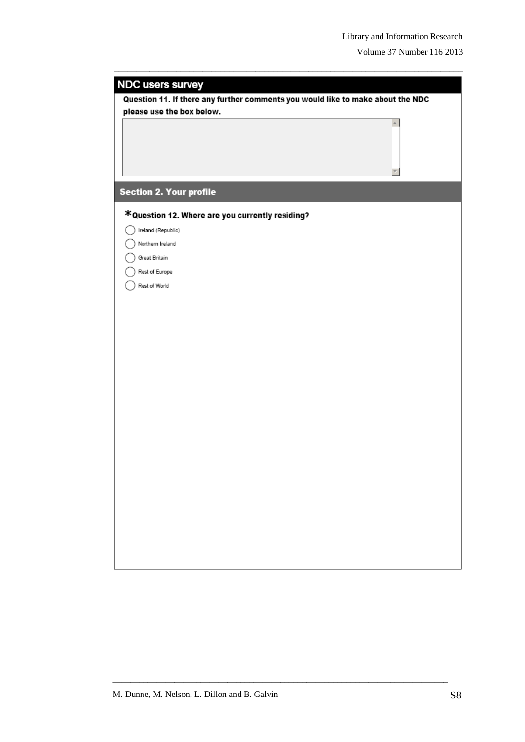| Question 11. If there any further comments you would like to make about the NDC<br>please use the box below.<br>*Question 12. Where are you currently residing?<br>Ireland (Republic)<br>Northern Ireland<br>Great Britain<br>Rest of Europe<br>Rest of World | <b>NDC users survey</b>        |
|---------------------------------------------------------------------------------------------------------------------------------------------------------------------------------------------------------------------------------------------------------------|--------------------------------|
|                                                                                                                                                                                                                                                               |                                |
|                                                                                                                                                                                                                                                               |                                |
|                                                                                                                                                                                                                                                               |                                |
|                                                                                                                                                                                                                                                               | <b>Section 2. Your profile</b> |
|                                                                                                                                                                                                                                                               |                                |
|                                                                                                                                                                                                                                                               |                                |
|                                                                                                                                                                                                                                                               |                                |
|                                                                                                                                                                                                                                                               |                                |
|                                                                                                                                                                                                                                                               |                                |
|                                                                                                                                                                                                                                                               |                                |
|                                                                                                                                                                                                                                                               |                                |
|                                                                                                                                                                                                                                                               |                                |
|                                                                                                                                                                                                                                                               |                                |
|                                                                                                                                                                                                                                                               |                                |
|                                                                                                                                                                                                                                                               |                                |
|                                                                                                                                                                                                                                                               |                                |
|                                                                                                                                                                                                                                                               |                                |
|                                                                                                                                                                                                                                                               |                                |
|                                                                                                                                                                                                                                                               |                                |
|                                                                                                                                                                                                                                                               |                                |
|                                                                                                                                                                                                                                                               |                                |
|                                                                                                                                                                                                                                                               |                                |
|                                                                                                                                                                                                                                                               |                                |
|                                                                                                                                                                                                                                                               |                                |
|                                                                                                                                                                                                                                                               |                                |
|                                                                                                                                                                                                                                                               |                                |
|                                                                                                                                                                                                                                                               |                                |
|                                                                                                                                                                                                                                                               |                                |
|                                                                                                                                                                                                                                                               |                                |
|                                                                                                                                                                                                                                                               |                                |

\_\_\_\_\_\_\_\_\_\_\_\_\_\_\_\_\_\_\_\_\_\_\_\_\_\_\_\_\_\_\_\_\_\_\_\_\_\_\_\_\_\_\_\_\_\_\_\_\_\_\_\_\_\_\_\_\_\_\_\_\_\_\_\_\_\_\_\_\_\_\_\_\_\_\_\_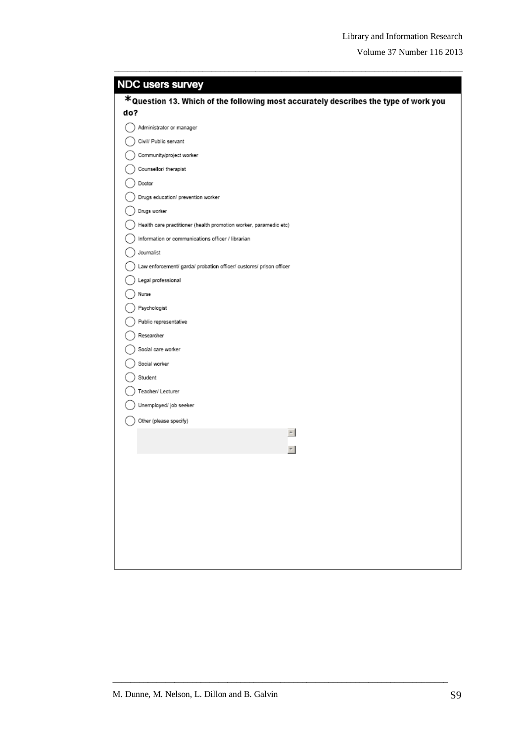| <b>NDC users survey</b>                                                             |
|-------------------------------------------------------------------------------------|
| *Question 13. Which of the following most accurately describes the type of work you |
| do?                                                                                 |
| Administrator or manager                                                            |
| Civil/ Public servant                                                               |
| Community/project worker                                                            |
| Counsellor/ therapist                                                               |
| Doctor                                                                              |
| Drugs education/ prevention worker                                                  |
| Drugs worker                                                                        |
| Health care practitioner (health promotion worker, paramedic etc)                   |
| Information or communications officer / librarian                                   |
| Journalist                                                                          |
| Law enforcement/ garda/ probation officer/ customs/ prison officer                  |
| Legal professional                                                                  |
| Nurse                                                                               |
| Psychologist                                                                        |
| Public representative                                                               |
| Researcher                                                                          |
| Social care worker                                                                  |
| Social worker                                                                       |
| Student                                                                             |
| Teacher/ Lecturer                                                                   |
| Unemployed/ job seeker                                                              |
| Other (please specify)                                                              |
| $\leftarrow$                                                                        |
| 키                                                                                   |
|                                                                                     |
|                                                                                     |
|                                                                                     |
|                                                                                     |
|                                                                                     |
|                                                                                     |
|                                                                                     |
|                                                                                     |

\_\_\_\_\_\_\_\_\_\_\_\_\_\_\_\_\_\_\_\_\_\_\_\_\_\_\_\_\_\_\_\_\_\_\_\_\_\_\_\_\_\_\_\_\_\_\_\_\_\_\_\_\_\_\_\_\_\_\_\_\_\_\_\_\_\_\_\_\_\_\_\_\_\_\_\_